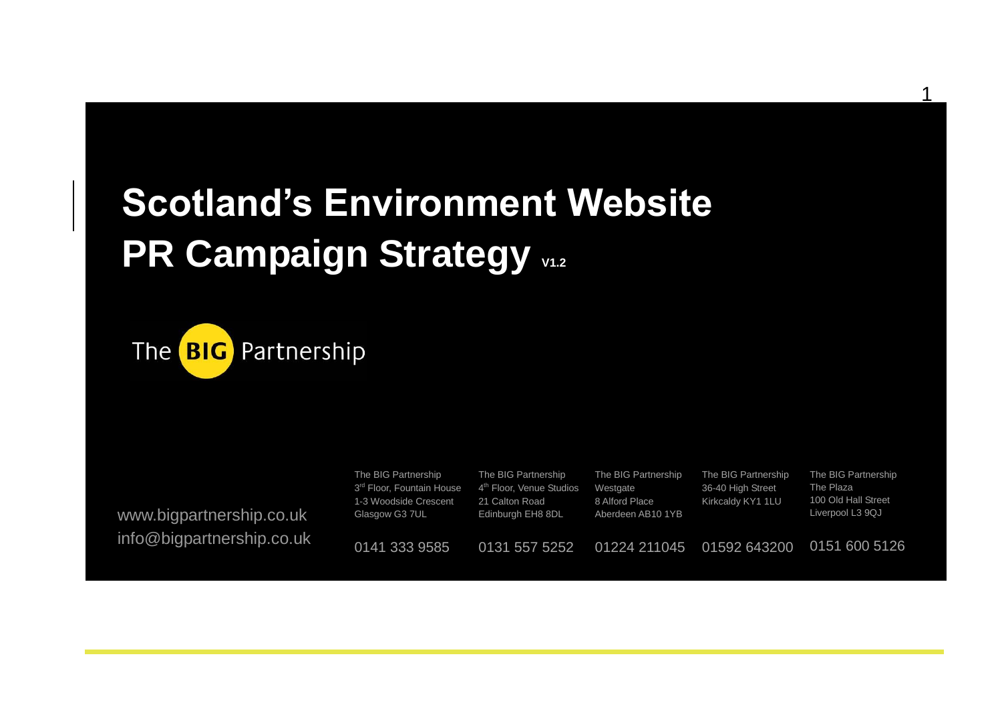# **Scotland's Environment Website PR Campaign Strategy**  $v_{1.2}$



www.bigpartnership.co.uk info@bigpartnership.co.uk

| The BIG Partnership<br>3 <sup>rd</sup> Floor, Fountain House<br>1-3 Woodside Crescent<br>Glasgow G3 7UL | The BIG Partnership<br>4 <sup>th</sup> Floor, Venue Studios<br>21 Calton Road<br>Edinburgh EH8 8DL | The BIG Partnership<br>Westgate<br>8 Alford Place<br>Aberdeen AB10 1YB | The BIG Partnership<br>36-40 High Street<br>Kirkcaldy KY1 1LU | The BIG Partnership<br>The Plaza<br>100 Old Hall Street<br>Liverpool L3 9QJ |
|---------------------------------------------------------------------------------------------------------|----------------------------------------------------------------------------------------------------|------------------------------------------------------------------------|---------------------------------------------------------------|-----------------------------------------------------------------------------|
| 0141 333 9585                                                                                           | 0131 557 5252                                                                                      | 01224 211045                                                           | 01592 643200                                                  | 0151 600 5126                                                               |

1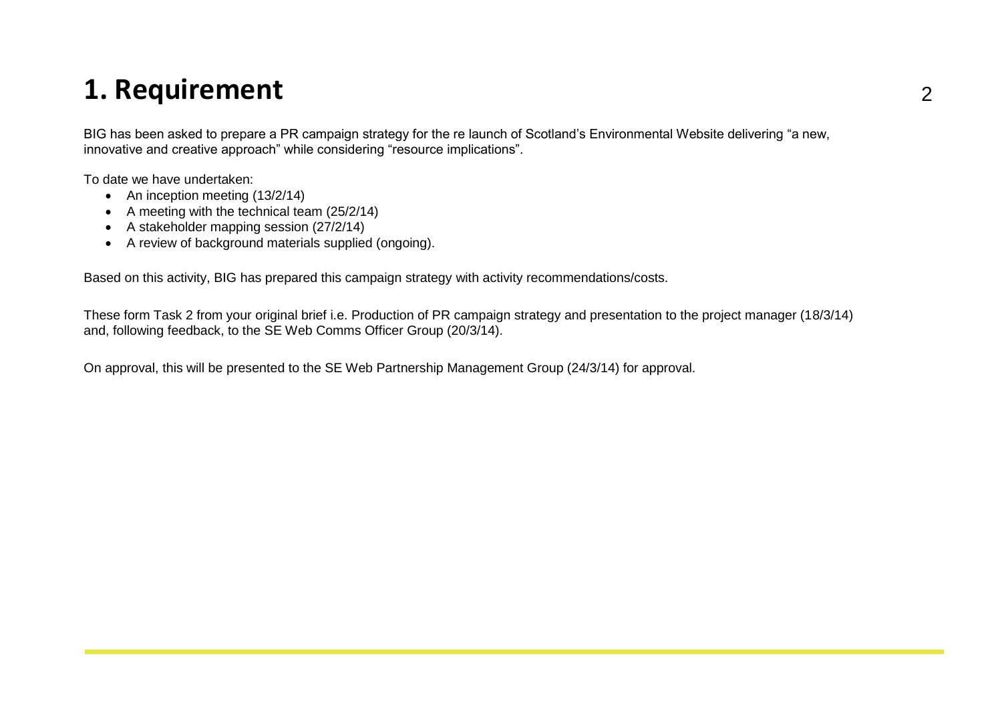### **1. Requirement** <sup>2</sup>

BIG has been asked to prepare a PR campaign strategy for the re launch of Scotland's Environmental Website delivering "a new, innovative and creative approach" while considering "resource implications".

To date we have undertaken:

- An inception meeting (13/2/14)
- $\bullet$  A meeting with the technical team (25/2/14)
- A stakeholder mapping session (27/2/14)
- A review of background materials supplied (ongoing).

Based on this activity, BIG has prepared this campaign strategy with activity recommendations/costs.

These form Task 2 from your original brief i.e. Production of PR campaign strategy and presentation to the project manager (18/3/14) and, following feedback, to the SE Web Comms Officer Group (20/3/14).

On approval, this will be presented to the SE Web Partnership Management Group (24/3/14) for approval.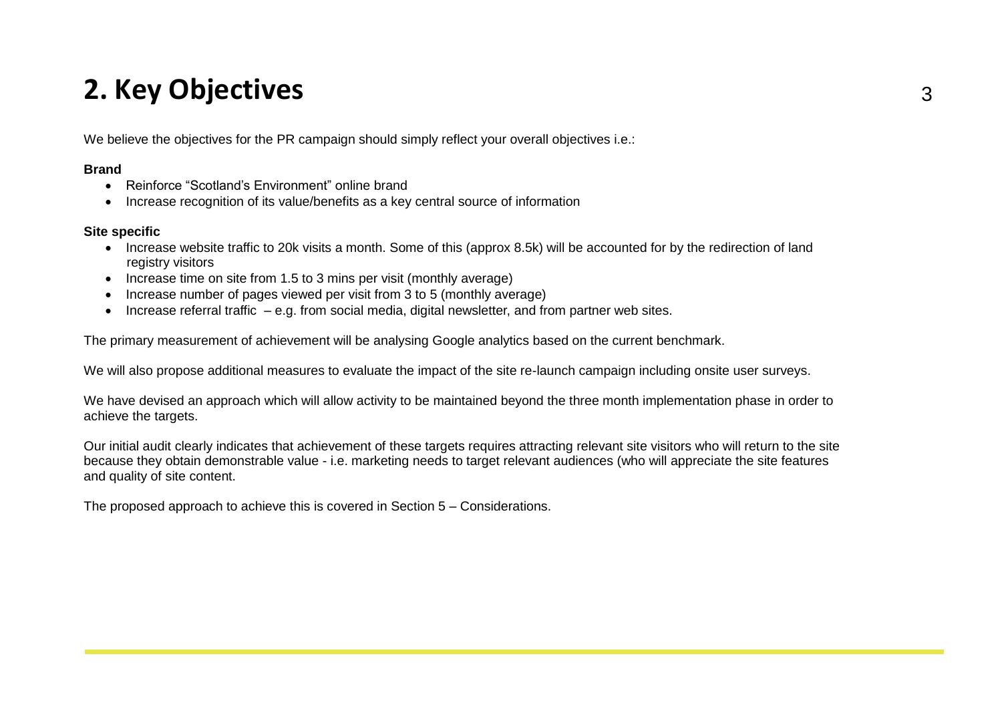## **2. Key Objectives** <sup>3</sup>

We believe the objectives for the PR campaign should simply reflect your overall objectives i.e.:

#### **Brand**

- Reinforce "Scotland's Environment" online brand
- Increase recognition of its value/benefits as a key central source of information

#### **Site specific**

- Increase website traffic to 20k visits a month. Some of this (approx 8.5k) will be accounted for by the redirection of land registry visitors
- Increase time on site from 1.5 to 3 mins per visit (monthly average)
- Increase number of pages viewed per visit from 3 to 5 (monthly average)
- Increase referral traffic e.g. from social media, digital newsletter, and from partner web sites.

The primary measurement of achievement will be analysing Google analytics based on the current benchmark.

We will also propose additional measures to evaluate the impact of the site re-launch campaign including onsite user surveys.

We have devised an approach which will allow activity to be maintained beyond the three month implementation phase in order to achieve the targets.

Our initial audit clearly indicates that achievement of these targets requires attracting relevant site visitors who will return to the site because they obtain demonstrable value - i.e. marketing needs to target relevant audiences (who will appreciate the site features and quality of site content.

The proposed approach to achieve this is covered in Section 5 – Considerations.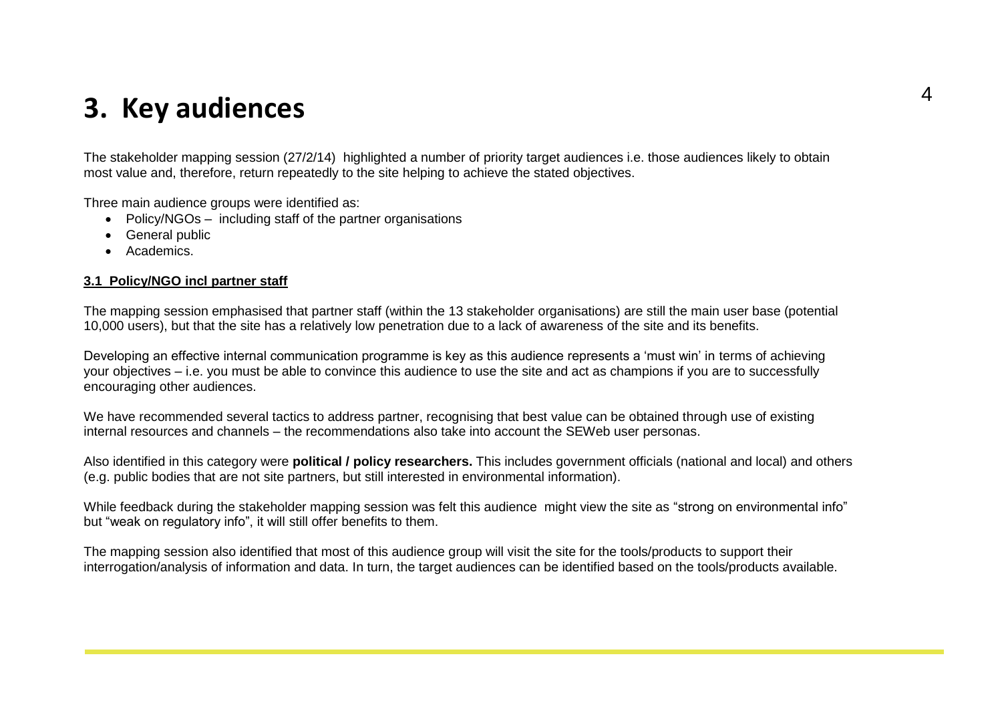### **3. Key audiences**

The stakeholder mapping session (27/2/14) highlighted a number of priority target audiences i.e. those audiences likely to obtain most value and, therefore, return repeatedly to the site helping to achieve the stated objectives.

Three main audience groups were identified as:

- Policy/NGOs including staff of the partner organisations
- General public
- Academics.

#### **3.1 Policy/NGO incl partner staff**

The mapping session emphasised that partner staff (within the 13 stakeholder organisations) are still the main user base (potential 10,000 users), but that the site has a relatively low penetration due to a lack of awareness of the site and its benefits.

Developing an effective internal communication programme is key as this audience represents a 'must win' in terms of achieving your objectives – i.e. you must be able to convince this audience to use the site and act as champions if you are to successfully encouraging other audiences.

We have recommended several tactics to address partner, recognising that best value can be obtained through use of existing internal resources and channels – the recommendations also take into account the SEWeb user personas.

Also identified in this category were **political / policy researchers.** This includes government officials (national and local) and others (e.g. public bodies that are not site partners, but still interested in environmental information).

While feedback during the stakeholder mapping session was felt this audience might view the site as "strong on environmental info" but "weak on regulatory info", it will still offer benefits to them.

The mapping session also identified that most of this audience group will visit the site for the tools/products to support their interrogation/analysis of information and data. In turn, the target audiences can be identified based on the tools/products available.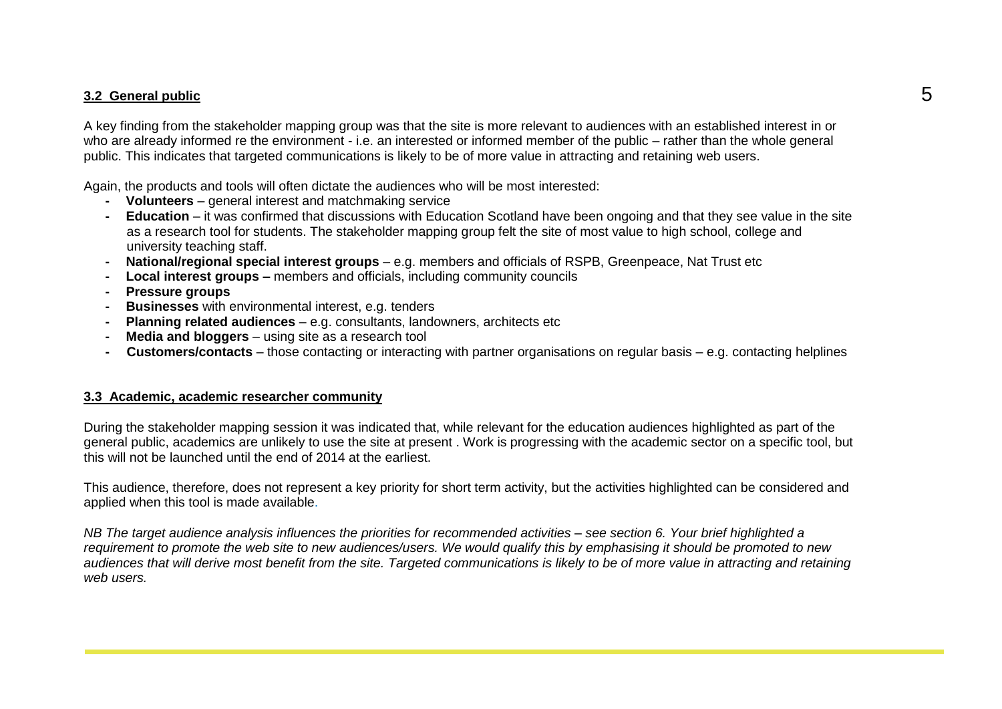### **3.2 General public** 5

A key finding from the stakeholder mapping group was that the site is more relevant to audiences with an established interest in or who are already informed re the environment - i.e. an interested or informed member of the public – rather than the whole general public. This indicates that targeted communications is likely to be of more value in attracting and retaining web users.

Again, the products and tools will often dictate the audiences who will be most interested:

- **- Volunteers** general interest and matchmaking service
- **- Education** it was confirmed that discussions with Education Scotland have been ongoing and that they see value in the site as a research tool for students. The stakeholder mapping group felt the site of most value to high school, college and university teaching staff.
- **- National/regional special interest groups** e.g. members and officials of RSPB, Greenpeace, Nat Trust etc
- **- Local interest groups –** members and officials, including community councils
- **- Pressure groups**
- **- Businesses** with environmental interest, e.g. tenders
- **- Planning related audiences** e.g. consultants, landowners, architects etc
- **- Media and bloggers** using site as a research tool
- **- Customers/contacts** those contacting or interacting with partner organisations on regular basis e.g. contacting helplines

#### **3.3 Academic, academic researcher community**

During the stakeholder mapping session it was indicated that, while relevant for the education audiences highlighted as part of the general public, academics are unlikely to use the site at present . Work is progressing with the academic sector on a specific tool, but this will not be launched until the end of 2014 at the earliest.

This audience, therefore, does not represent a key priority for short term activity, but the activities highlighted can be considered and applied when this tool is made available.

*NB The target audience analysis influences the priorities for recommended activities – see section 6. Your brief highlighted a requirement to promote the web site to new audiences/users. We would qualify this by emphasising it should be promoted to new audiences that will derive most benefit from the site. Targeted communications is likely to be of more value in attracting and retaining web users.*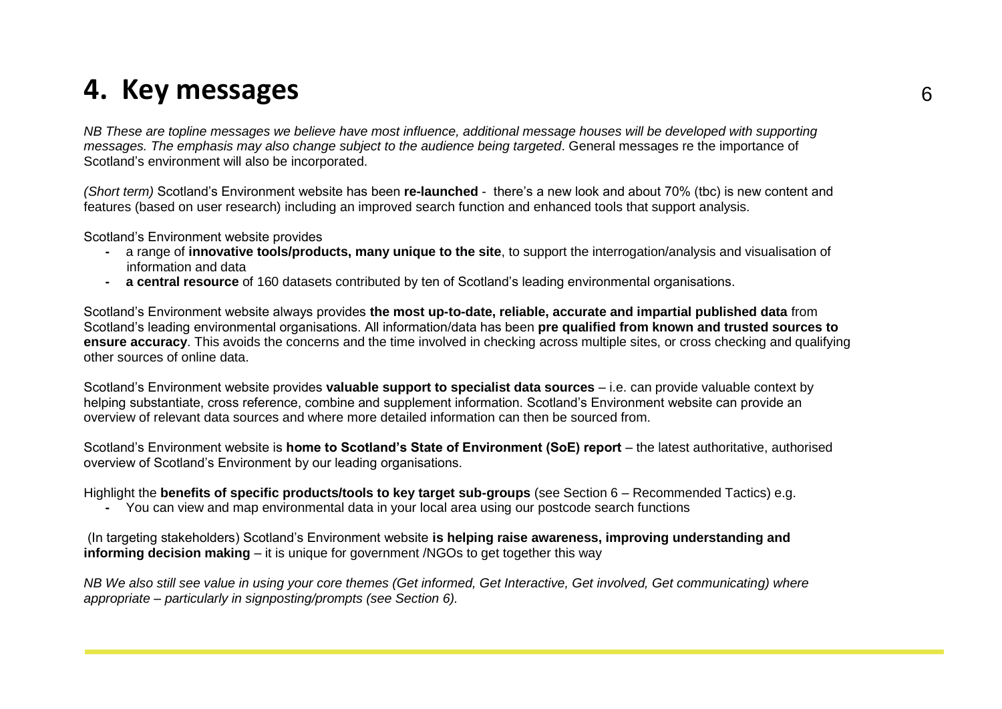### **4. Key messages** <sup>6</sup>

*NB These are topline messages we believe have most influence, additional message houses will be developed with supporting messages. The emphasis may also change subject to the audience being targeted*. General messages re the importance of Scotland's environment will also be incorporated.

*(Short term)* Scotland's Environment website has been **re-launched** - there's a new look and about 70% (tbc) is new content and features (based on user research) including an improved search function and enhanced tools that support analysis.

Scotland's Environment website provides

- **-** a range of **innovative tools/products, many unique to the site**, to support the interrogation/analysis and visualisation of information and data
- **- a central resource** of 160 datasets contributed by ten of Scotland's leading environmental organisations.

Scotland's Environment website always provides **the most up-to-date, reliable, accurate and impartial published data** from Scotland's leading environmental organisations. All information/data has been **pre qualified from known and trusted sources to ensure accuracy**. This avoids the concerns and the time involved in checking across multiple sites, or cross checking and qualifying other sources of online data.

Scotland's Environment website provides **valuable support to specialist data sources** – i.e. can provide valuable context by helping substantiate, cross reference, combine and supplement information. Scotland's Environment website can provide an overview of relevant data sources and where more detailed information can then be sourced from.

Scotland's Environment website is **home to Scotland's State of Environment (SoE) report** – the latest authoritative, authorised overview of Scotland's Environment by our leading organisations.

Highlight the **benefits of specific products/tools to key target sub-groups** (see Section 6 – Recommended Tactics) e.g.

**-** You can view and map environmental data in your local area using our postcode search functions

(In targeting stakeholders) Scotland's Environment website **is helping raise awareness, improving understanding and informing decision making** – it is unique for government /NGOs to get together this way

*NB We also still see value in using your core themes (Get informed, Get Interactive, Get involved, Get communicating) where appropriate – particularly in signposting/prompts (see Section 6).*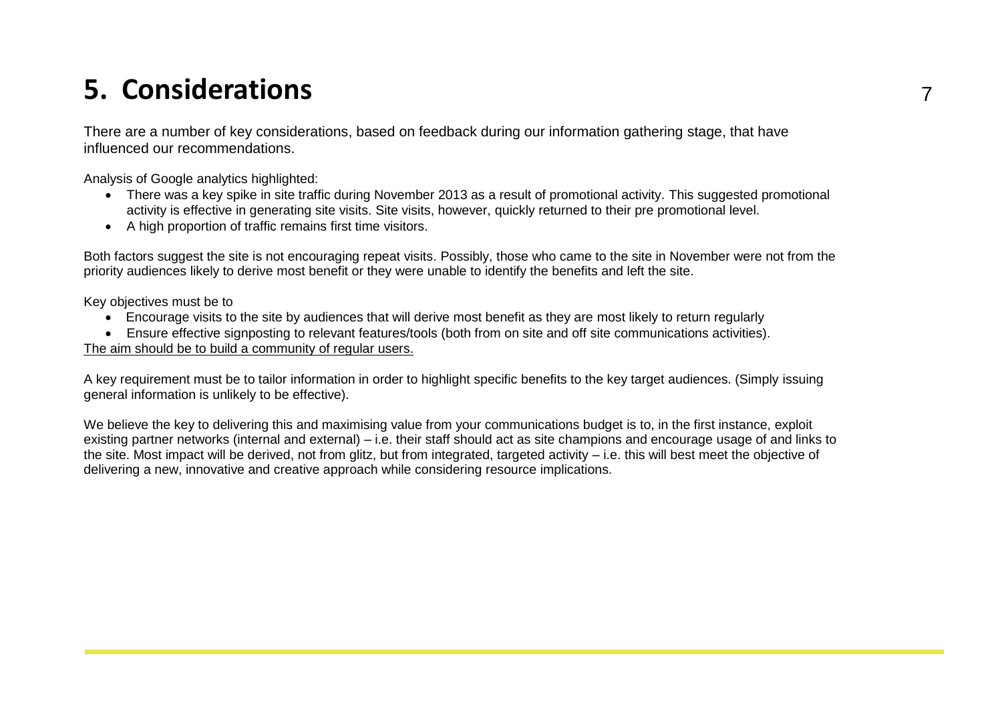## **5. Considerations** <sup>7</sup>

There are a number of key considerations, based on feedback during our information gathering stage, that have influenced our recommendations.

Analysis of Google analytics highlighted:

- There was a key spike in site traffic during November 2013 as a result of promotional activity. This suggested promotional activity is effective in generating site visits. Site visits, however, quickly returned to their pre promotional level.
- A high proportion of traffic remains first time visitors.

Both factors suggest the site is not encouraging repeat visits. Possibly, those who came to the site in November were not from the priority audiences likely to derive most benefit or they were unable to identify the benefits and left the site.

Key objectives must be to

- Encourage visits to the site by audiences that will derive most benefit as they are most likely to return regularly
- Ensure effective signposting to relevant features/tools (both from on site and off site communications activities).

The aim should be to build a community of regular users.

A key requirement must be to tailor information in order to highlight specific benefits to the key target audiences. (Simply issuing general information is unlikely to be effective).

We believe the key to delivering this and maximising value from your communications budget is to, in the first instance, exploit existing partner networks (internal and external) – i.e. their staff should act as site champions and encourage usage of and links to the site. Most impact will be derived, not from glitz, but from integrated, targeted activity – i.e. this will best meet the objective of delivering a new, innovative and creative approach while considering resource implications.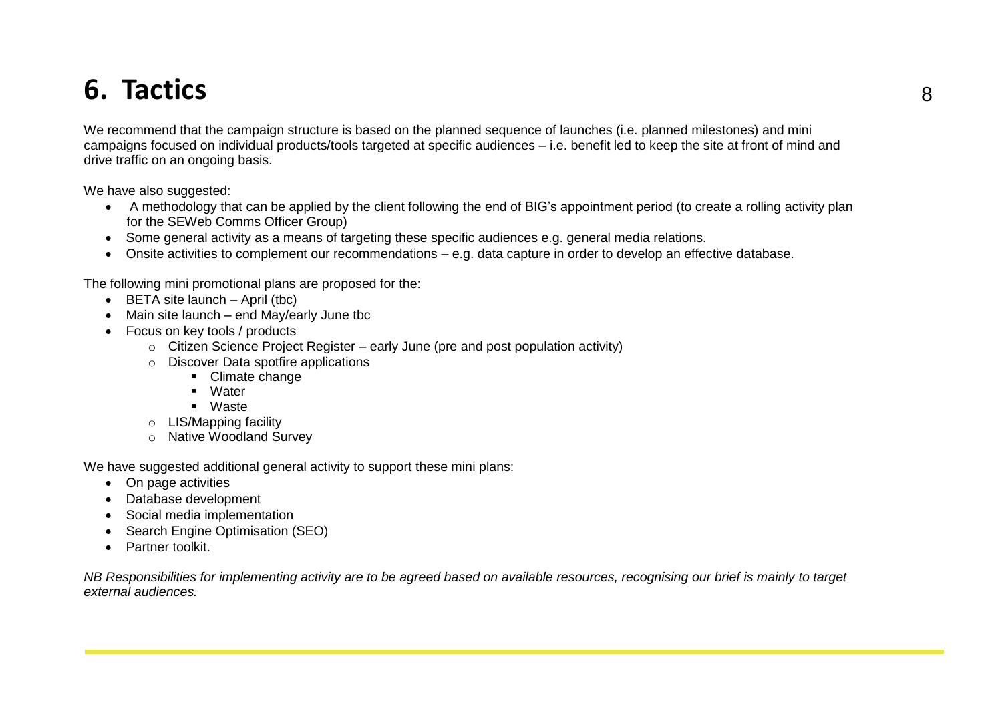## **6. Tactics** <sup>8</sup>

We recommend that the campaign structure is based on the planned sequence of launches (i.e. planned milestones) and mini campaigns focused on individual products/tools targeted at specific audiences – i.e. benefit led to keep the site at front of mind and drive traffic on an ongoing basis.

We have also suggested:

- A methodology that can be applied by the client following the end of BIG's appointment period (to create a rolling activity plan for the SEWeb Comms Officer Group)
- Some general activity as a means of targeting these specific audiences e.g. general media relations.
- Onsite activities to complement our recommendations e.g. data capture in order to develop an effective database.

The following mini promotional plans are proposed for the:

- $\bullet$  BETA site launch April (tbc)
- Main site launch end May/early June tbc
- Focus on key tools / products
	- $\circ$  Citizen Science Project Register early June (pre and post population activity)
	- o Discover Data spotfire applications
		- **-** Climate change
		- Water
		- Waste
	- o LIS/Mapping facility
	- o Native Woodland Survey

We have suggested additional general activity to support these mini plans:

- On page activities
- Database development
- Social media implementation
- Search Engine Optimisation (SEO)
- Partner toolkit.

*NB Responsibilities for implementing activity are to be agreed based on available resources, recognising our brief is mainly to target external audiences.*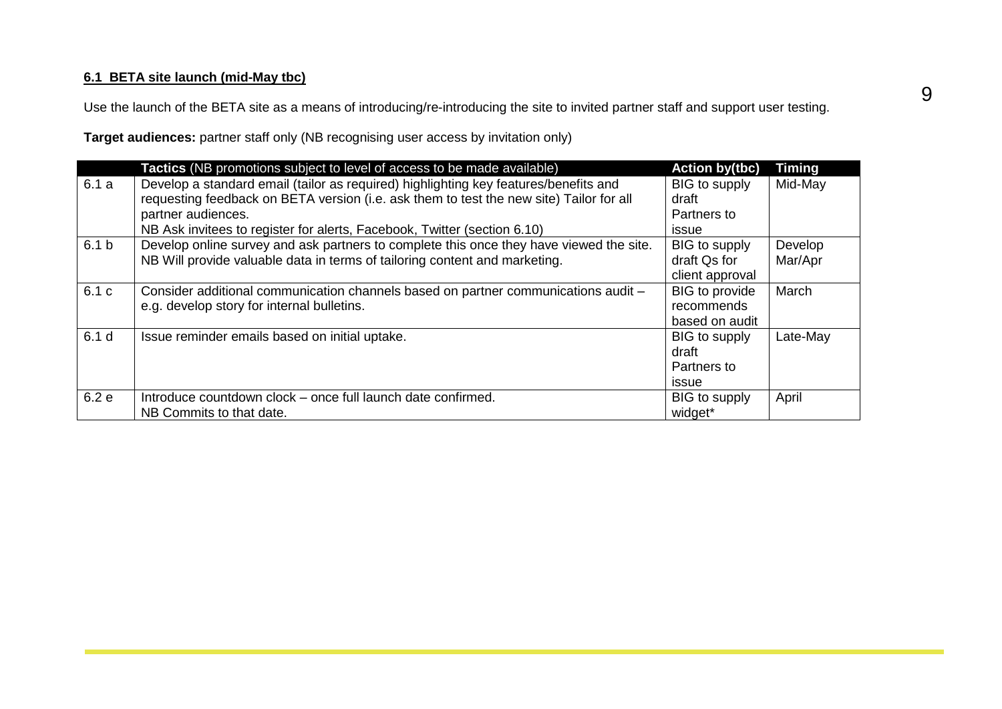#### **6.1 BETA site launch (mid-May tbc)**

Use the launch of the BETA site as a means of introducing/re-introducing the site to invited partner staff and support user testing.

**Target audiences:** partner staff only (NB recognising user access by invitation only)

|                  | Tactics (NB promotions subject to level of access to be made available)                                                                                                                               | <b>Action by(tbc)</b>                                 | <b>Timing</b>      |
|------------------|-------------------------------------------------------------------------------------------------------------------------------------------------------------------------------------------------------|-------------------------------------------------------|--------------------|
| 6.1a             | Develop a standard email (tailor as required) highlighting key features/benefits and<br>requesting feedback on BETA version (i.e. ask them to test the new site) Tailor for all<br>partner audiences. | BIG to supply<br>draft<br>Partners to                 | Mid-May            |
|                  | NB Ask invitees to register for alerts, Facebook, Twitter (section 6.10)                                                                                                                              | issue                                                 |                    |
| 6.1 <sub>b</sub> | Develop online survey and ask partners to complete this once they have viewed the site.<br>NB Will provide valuable data in terms of tailoring content and marketing.                                 | BIG to supply<br>draft Qs for<br>client approval      | Develop<br>Mar/Apr |
| 6.1 c            | Consider additional communication channels based on partner communications audit -<br>e.g. develop story for internal bulletins.                                                                      | <b>BIG</b> to provide<br>recommends<br>based on audit | March              |
| 6.1 <sub>d</sub> | Issue reminder emails based on initial uptake.                                                                                                                                                        | BIG to supply<br>draft<br>Partners to<br><i>issue</i> | Late-May           |
| 6.2 e            | Introduce countdown clock – once full launch date confirmed.<br>NB Commits to that date.                                                                                                              | BIG to supply<br>widget*                              | April              |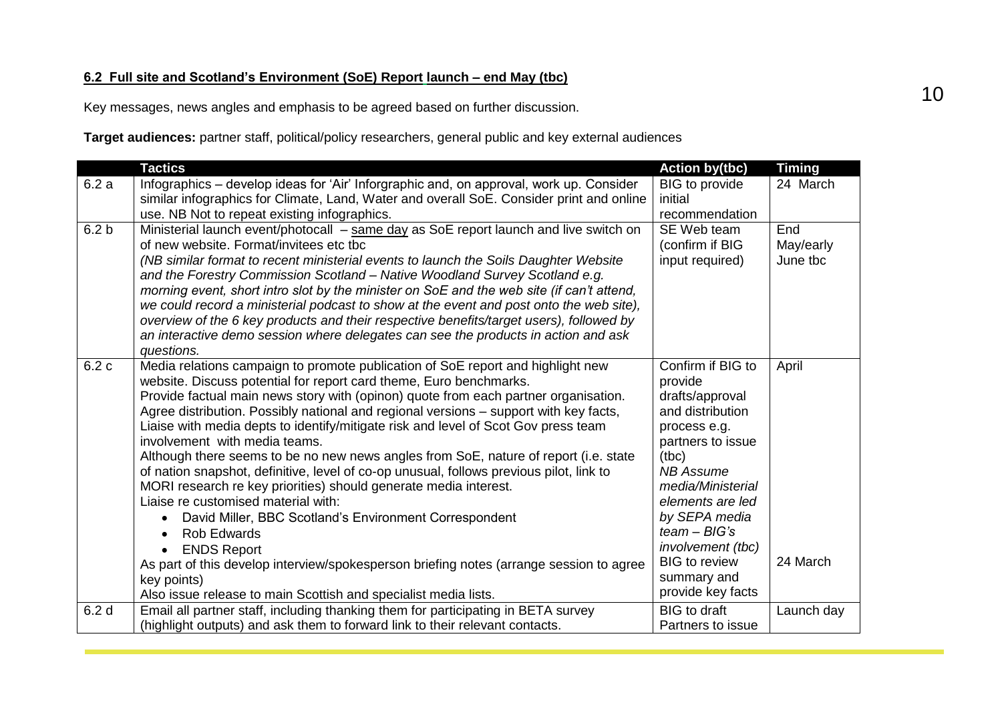#### **6.2 Full site and Scotland's Environment (SoE) Report launch – end May (tbc)**

Key messages, news angles and emphasis to be agreed based on further discussion.

**Target audiences:** partner staff, political/policy researchers, general public and key external audiences

|                  | <b>Tactics</b>                                                                                                      | <b>Action by(tbc)</b>             | <b>Timing</b> |
|------------------|---------------------------------------------------------------------------------------------------------------------|-----------------------------------|---------------|
| 6.2a             | Infographics – develop ideas for 'Air' Inforgraphic and, on approval, work up. Consider                             | <b>BIG</b> to provide             | 24 March      |
|                  | similar infographics for Climate, Land, Water and overall SoE. Consider print and online                            | initial                           |               |
|                  | use. NB Not to repeat existing infographics.                                                                        | recommendation                    |               |
| 6.2 <sub>b</sub> | Ministerial launch event/photocall - same day as SoE report launch and live switch on                               | SE Web team                       | End           |
|                  | of new website. Format/invitees etc tbc                                                                             | (confirm if BIG                   | May/early     |
|                  | (NB similar format to recent ministerial events to launch the Soils Daughter Website                                | input required)                   | June tbc      |
|                  | and the Forestry Commission Scotland - Native Woodland Survey Scotland e.g.                                         |                                   |               |
|                  | morning event, short intro slot by the minister on SoE and the web site (if can't attend,                           |                                   |               |
|                  | we could record a ministerial podcast to show at the event and post onto the web site),                             |                                   |               |
|                  | overview of the 6 key products and their respective benefits/target users), followed by                             |                                   |               |
|                  | an interactive demo session where delegates can see the products in action and ask                                  |                                   |               |
|                  | questions.                                                                                                          |                                   |               |
| 6.2c             | Media relations campaign to promote publication of SoE report and highlight new                                     | Confirm if BIG to                 | April         |
|                  | website. Discuss potential for report card theme, Euro benchmarks.                                                  | provide                           |               |
|                  | Provide factual main news story with (opinon) quote from each partner organisation.                                 | drafts/approval                   |               |
|                  | Agree distribution. Possibly national and regional versions - support with key facts,                               | and distribution                  |               |
|                  | Liaise with media depts to identify/mitigate risk and level of Scot Gov press team<br>involvement with media teams. | process e.g.<br>partners to issue |               |
|                  | Although there seems to be no new news angles from SoE, nature of report (i.e. state                                | (tbc)                             |               |
|                  | of nation snapshot, definitive, level of co-op unusual, follows previous pilot, link to                             | <b>NB Assume</b>                  |               |
|                  | MORI research re key priorities) should generate media interest.                                                    | media/Ministerial                 |               |
|                  | Liaise re customised material with:                                                                                 | elements are led                  |               |
|                  | David Miller, BBC Scotland's Environment Correspondent<br>$\bullet$                                                 | by SEPA media                     |               |
|                  | <b>Rob Edwards</b><br>$\bullet$                                                                                     | $team - BIG's$                    |               |
|                  | <b>ENDS Report</b><br>$\bullet$                                                                                     | involvement (tbc)                 |               |
|                  | As part of this develop interview/spokesperson briefing notes (arrange session to agree                             | <b>BIG</b> to review              | 24 March      |
|                  | key points)                                                                                                         | summary and                       |               |
|                  | Also issue release to main Scottish and specialist media lists.                                                     | provide key facts                 |               |
| 6.2 <sub>d</sub> | Email all partner staff, including thanking them for participating in BETA survey                                   | <b>BIG</b> to draft               | Launch day    |
|                  | (highlight outputs) and ask them to forward link to their relevant contacts.                                        | Partners to issue                 |               |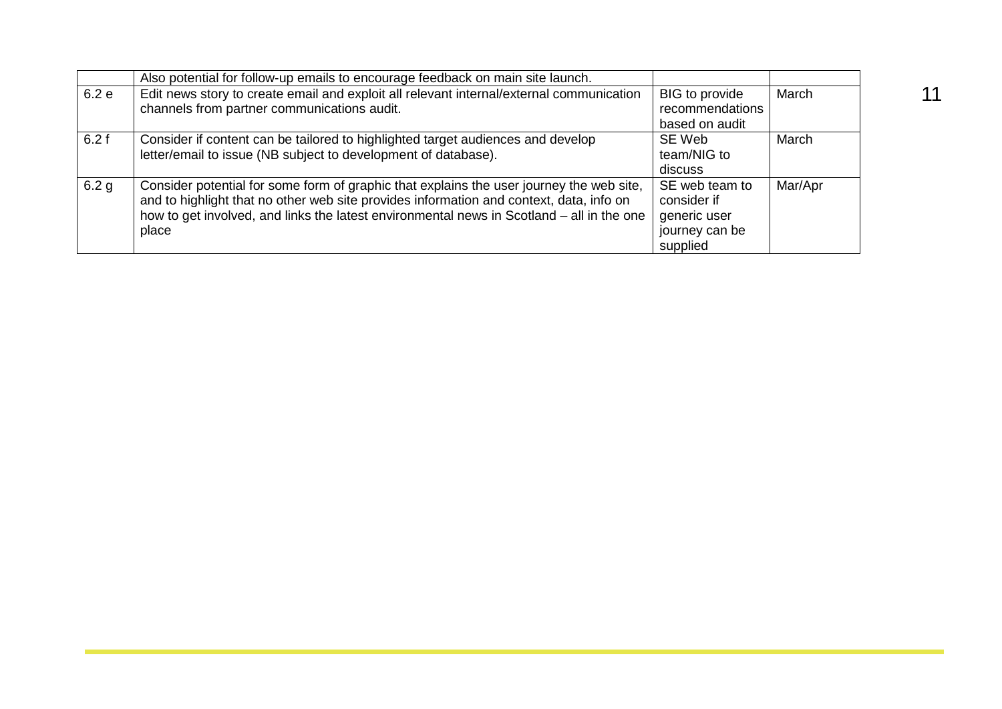|                  | Also potential for follow-up emails to encourage feedback on main site launch.                                                                                                                                                                                                            |                                                                             |         |
|------------------|-------------------------------------------------------------------------------------------------------------------------------------------------------------------------------------------------------------------------------------------------------------------------------------------|-----------------------------------------------------------------------------|---------|
| 6.2e             | Edit news story to create email and exploit all relevant internal/external communication<br>channels from partner communications audit.                                                                                                                                                   | BIG to provide<br>recommendations                                           | March   |
|                  |                                                                                                                                                                                                                                                                                           | based on audit                                                              |         |
| 6.2f             | Consider if content can be tailored to highlighted target audiences and develop<br>letter/email to issue (NB subject to development of database).                                                                                                                                         | SE Web<br>team/NIG to<br>discuss                                            | March   |
| 6.2 <sub>g</sub> | Consider potential for some form of graphic that explains the user journey the web site,<br>and to highlight that no other web site provides information and context, data, info on<br>how to get involved, and links the latest environmental news in Scotland - all in the one<br>place | SE web team to<br>consider if<br>generic user<br>journey can be<br>supplied | Mar/Apr |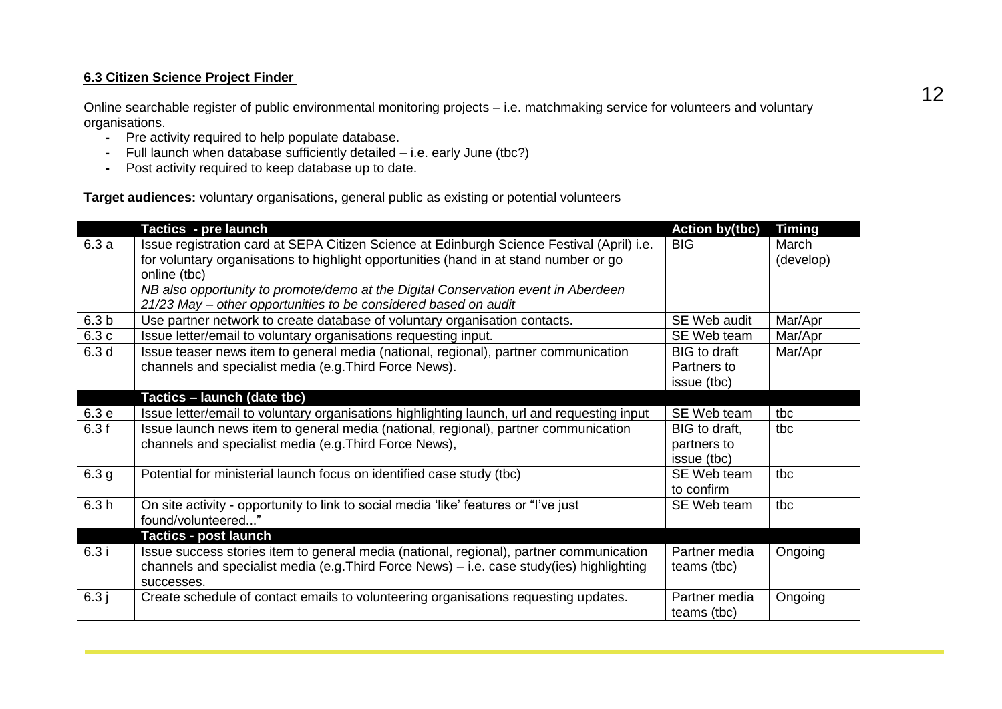#### **6.3 Citizen Science Project Finder**

Online searchable register of public environmental monitoring projects – i.e. matchmaking service for volunteers and voluntary organisations.

- **-** Pre activity required to help populate database.
- **-** Full launch when database sufficiently detailed i.e. early June (tbc?)
- **-** Post activity required to keep database up to date.

**Target audiences:** voluntary organisations, general public as existing or potential volunteers

|                  | Tactics - pre launch                                                                                                                                                                               | <b>Action by(tbc)</b>        | <b>Timing</b>      |
|------------------|----------------------------------------------------------------------------------------------------------------------------------------------------------------------------------------------------|------------------------------|--------------------|
| 6.3a             | Issue registration card at SEPA Citizen Science at Edinburgh Science Festival (April) i.e.<br>for voluntary organisations to highlight opportunities (hand in at stand number or go                | <b>BIG</b>                   | March<br>(develop) |
|                  | online (tbc)                                                                                                                                                                                       |                              |                    |
|                  | NB also opportunity to promote/demo at the Digital Conservation event in Aberdeen<br>21/23 May - other opportunities to be considered based on audit                                               |                              |                    |
| 6.3 <sub>b</sub> | Use partner network to create database of voluntary organisation contacts.                                                                                                                         | SE Web audit                 | Mar/Apr            |
| 6.3c             | Issue letter/email to voluntary organisations requesting input.                                                                                                                                    | SE Web team                  | Mar/Apr            |
| 6.3 <sub>d</sub> | Issue teaser news item to general media (national, regional), partner communication                                                                                                                | <b>BIG</b> to draft          | Mar/Apr            |
|                  | channels and specialist media (e.g. Third Force News).                                                                                                                                             | Partners to                  |                    |
|                  |                                                                                                                                                                                                    | issue (tbc)                  |                    |
|                  | Tactics – launch (date tbc)                                                                                                                                                                        |                              |                    |
| 6.3e             | Issue letter/email to voluntary organisations highlighting launch, url and requesting input                                                                                                        | SE Web team                  | tbc                |
| 6.3f             | Issue launch news item to general media (national, regional), partner communication                                                                                                                | BIG to draft,                | tbc                |
|                  | channels and specialist media (e.g. Third Force News),                                                                                                                                             | partners to                  |                    |
|                  |                                                                                                                                                                                                    | issue (tbc)                  |                    |
| 6.3 <sub>g</sub> | Potential for ministerial launch focus on identified case study (tbc)                                                                                                                              | SE Web team                  | tbc                |
|                  |                                                                                                                                                                                                    | to confirm                   |                    |
| 6.3h             | On site activity - opportunity to link to social media 'like' features or "I've just<br>found/volunteered"                                                                                         | SE Web team                  | tbc                |
|                  | <b>Tactics - post launch</b>                                                                                                                                                                       |                              |                    |
| 6.3i             | Issue success stories item to general media (national, regional), partner communication<br>channels and specialist media (e.g. Third Force News) – i.e. case study(ies) highlighting<br>successes. | Partner media<br>teams (tbc) | Ongoing            |
| 6.3j             | Create schedule of contact emails to volunteering organisations requesting updates.                                                                                                                | Partner media<br>teams (tbc) | Ongoing            |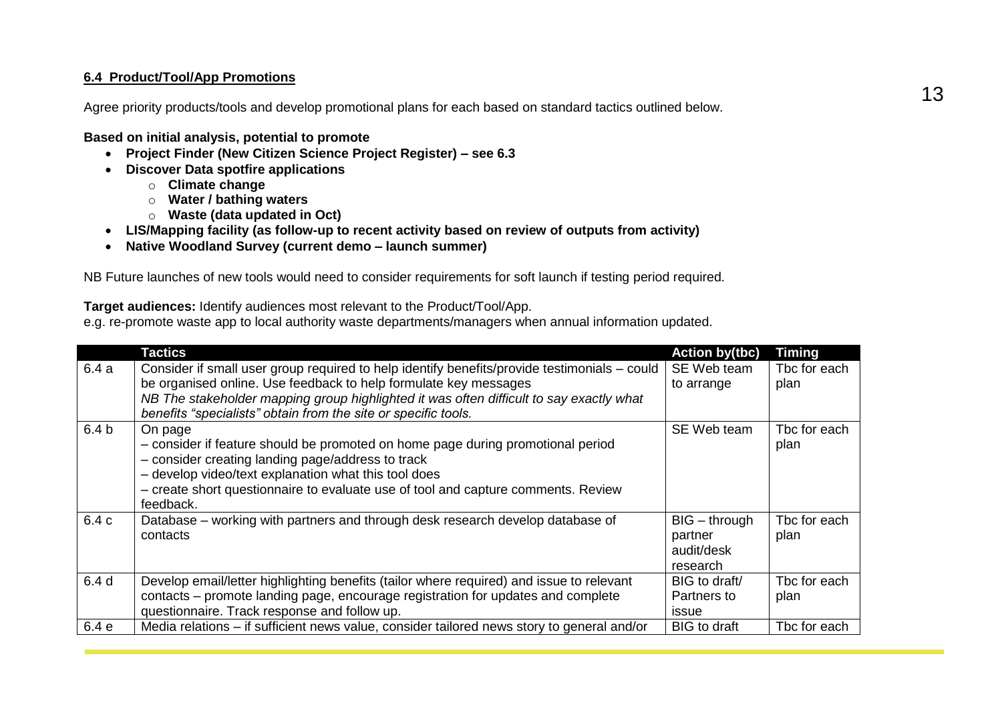#### **6.4 Product/Tool/App Promotions**

Agree priority products/tools and develop promotional plans for each based on standard tactics outlined below.

**Based on initial analysis, potential to promote**

- **Project Finder (New Citizen Science Project Register) – see 6.3**
- **Discover Data spotfire applications**
	- o **Climate change**
	- o **Water / bathing waters**
	- o **Waste (data updated in Oct)**
- **LIS/Mapping facility (as follow-up to recent activity based on review of outputs from activity)**
- **Native Woodland Survey (current demo – launch summer)**

NB Future launches of new tools would need to consider requirements for soft launch if testing period required.

**Target audiences:** Identify audiences most relevant to the Product/Tool/App.

e.g. re-promote waste app to local authority waste departments/managers when annual information updated.

|                  | Tactics                                                                                                                                                                                                                                                                                                                       | <b>Action by(tbc)</b>                                | <b>Timing</b>        |
|------------------|-------------------------------------------------------------------------------------------------------------------------------------------------------------------------------------------------------------------------------------------------------------------------------------------------------------------------------|------------------------------------------------------|----------------------|
| 6.4a             | Consider if small user group required to help identify benefits/provide testimonials – could<br>be organised online. Use feedback to help formulate key messages<br>NB The stakeholder mapping group highlighted it was often difficult to say exactly what<br>benefits "specialists" obtain from the site or specific tools. | SE Web team<br>to arrange                            | Tbc for each<br>plan |
| 6.4 <sub>b</sub> | On page<br>- consider if feature should be promoted on home page during promotional period<br>- consider creating landing page/address to track<br>- develop video/text explanation what this tool does<br>- create short questionnaire to evaluate use of tool and capture comments. Review<br>feedback.                     | SE Web team                                          | Tbc for each<br>plan |
| 6.4 c            | Database – working with partners and through desk research develop database of<br>contacts                                                                                                                                                                                                                                    | $BIG - through$<br>partner<br>audit/desk<br>research | The for each<br>plan |
| 6.4 <sub>d</sub> | Develop email/letter highlighting benefits (tailor where required) and issue to relevant<br>contacts – promote landing page, encourage registration for updates and complete<br>questionnaire. Track response and follow up.                                                                                                  | BIG to draft/<br>Partners to<br>issue                | Tbc for each<br>plan |
| 6.4 e            | Media relations – if sufficient news value, consider tailored news story to general and/or                                                                                                                                                                                                                                    | <b>BIG</b> to draft                                  | The for each         |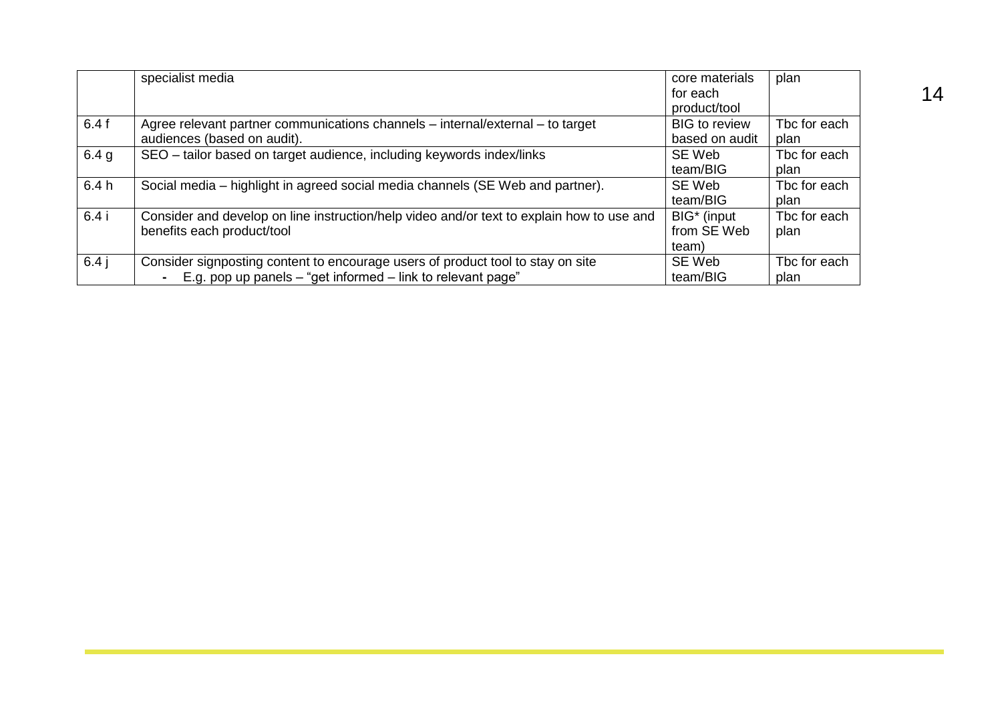|                  | specialist media                                                                          | core materials          | plan         |
|------------------|-------------------------------------------------------------------------------------------|-------------------------|--------------|
|                  |                                                                                           | for each                |              |
|                  |                                                                                           | product/tool            |              |
| 6.4f             | Agree relevant partner communications channels – internal/external – to target            | <b>BIG</b> to review    | Tbc for each |
|                  | audiences (based on audit).                                                               | based on audit          | plan         |
| 6.4 <sub>g</sub> | SEO - tailor based on target audience, including keywords index/links                     | SE Web                  | Tbc for each |
|                  |                                                                                           | team/BIG                | plan         |
| 6.4h             | Social media – highlight in agreed social media channels (SE Web and partner).            | SE Web                  | Tbc for each |
|                  |                                                                                           | team/BIG                | plan         |
| 6.4i             | Consider and develop on line instruction/help video and/or text to explain how to use and | BIG <sup>*</sup> (input | Tbc for each |
|                  | benefits each product/tool                                                                | from SE Web             | plan         |
|                  |                                                                                           | team)                   |              |
| $6.4$ j          | Consider signposting content to encourage users of product tool to stay on site           | SE Web                  | Tbc for each |
|                  | E.g. pop up panels $-$ "get informed $-$ link to relevant page"<br>$\blacksquare$         | team/BIG                | plan         |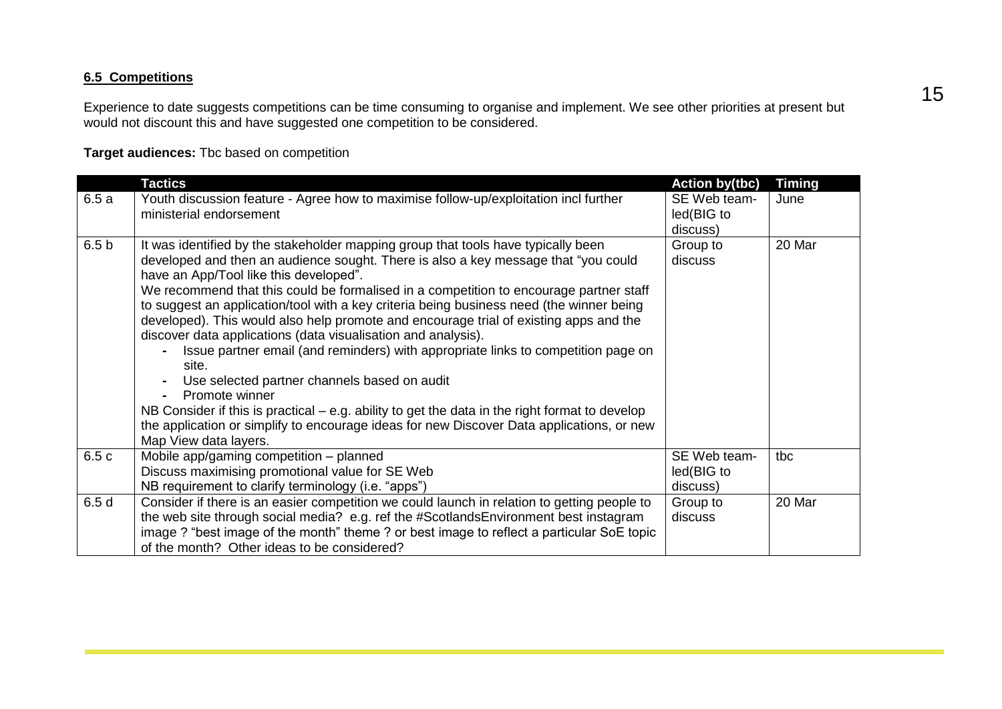#### **6.5 Competitions**

Experience to date suggests competitions can be time consuming to organise and implement. We see other priorities at present but would not discount this and have suggested one competition to be considered.

**Target audiences:** Tbc based on competition

|                  | <b>Tactics</b>                                                                                                               | <b>Action by(tbc)</b> | <b>Timing</b> |
|------------------|------------------------------------------------------------------------------------------------------------------------------|-----------------------|---------------|
| 6.5a             | Youth discussion feature - Agree how to maximise follow-up/exploitation incl further                                         | SE Web team-          | June          |
|                  | ministerial endorsement                                                                                                      | led(BIG to            |               |
|                  |                                                                                                                              | discuss)              |               |
| 6.5 <sub>b</sub> | It was identified by the stakeholder mapping group that tools have typically been                                            | Group to              | 20 Mar        |
|                  | developed and then an audience sought. There is also a key message that "you could<br>have an App/Tool like this developed". | discuss               |               |
|                  | We recommend that this could be formalised in a competition to encourage partner staff                                       |                       |               |
|                  | to suggest an application/tool with a key criteria being business need (the winner being                                     |                       |               |
|                  | developed). This would also help promote and encourage trial of existing apps and the                                        |                       |               |
|                  | discover data applications (data visualisation and analysis).                                                                |                       |               |
|                  | Issue partner email (and reminders) with appropriate links to competition page on                                            |                       |               |
|                  | site.                                                                                                                        |                       |               |
|                  | Use selected partner channels based on audit                                                                                 |                       |               |
|                  | Promote winner                                                                                                               |                       |               |
|                  | NB Consider if this is practical $-$ e.g. ability to get the data in the right format to develop                             |                       |               |
|                  | the application or simplify to encourage ideas for new Discover Data applications, or new                                    |                       |               |
|                  | Map View data layers.                                                                                                        |                       |               |
| 6.5 c            | Mobile app/gaming competition - planned                                                                                      | SE Web team-          | tbc           |
|                  | Discuss maximising promotional value for SE Web                                                                              | led(BIG to            |               |
|                  | NB requirement to clarify terminology (i.e. "apps")                                                                          | discuss)              |               |
| 6.5d             | Consider if there is an easier competition we could launch in relation to getting people to                                  | Group to              | 20 Mar        |
|                  | the web site through social media? e.g. ref the #ScotlandsEnvironment best instagram                                         | discuss               |               |
|                  | image ? "best image of the month" theme ? or best image to reflect a particular SoE topic                                    |                       |               |
|                  | of the month? Other ideas to be considered?                                                                                  |                       |               |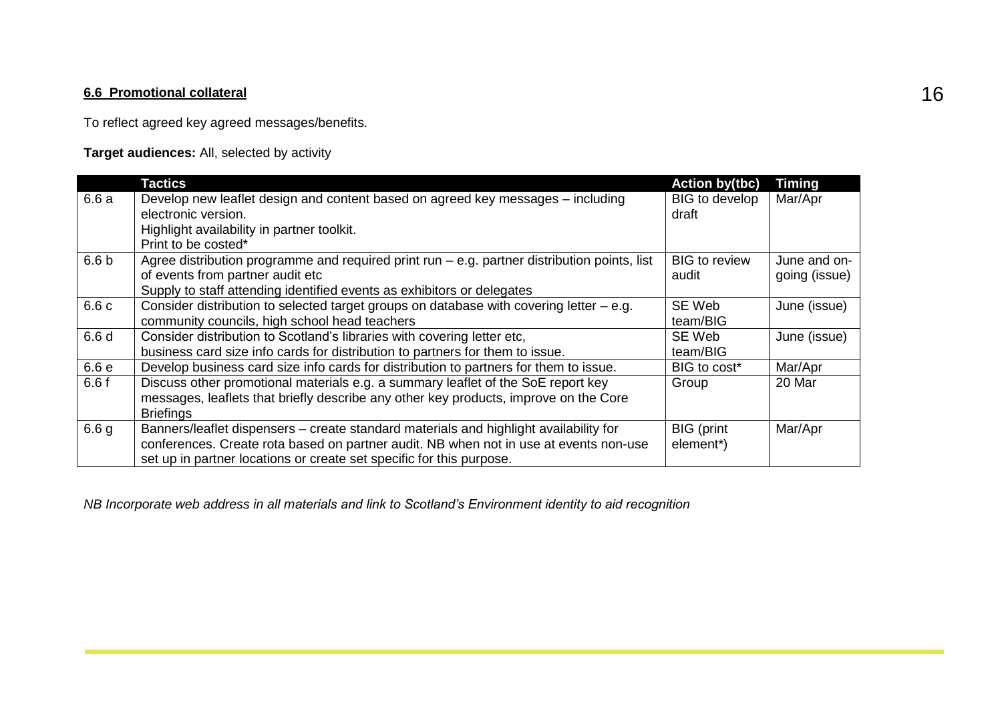### **6.6 Promotional collateral** 16

To reflect agreed key agreed messages/benefits.

**Target audiences:** All, selected by activity

|                  | <b>Tactics</b>                                                                                                                                                                                                                                         | <b>Action by(tbc)</b>          | <b>Timing</b>                 |
|------------------|--------------------------------------------------------------------------------------------------------------------------------------------------------------------------------------------------------------------------------------------------------|--------------------------------|-------------------------------|
| 6.6 a            | Develop new leaflet design and content based on agreed key messages - including<br>electronic version.                                                                                                                                                 | <b>BIG</b> to develop<br>draft | Mar/Apr                       |
|                  | Highlight availability in partner toolkit.<br>Print to be costed*                                                                                                                                                                                      |                                |                               |
| 6.6 <sub>b</sub> | Agree distribution programme and required print run - e.g. partner distribution points, list<br>of events from partner audit etc<br>Supply to staff attending identified events as exhibitors or delegates                                             | <b>BIG</b> to review<br>audit  | June and on-<br>going (issue) |
| 6.6 c            | Consider distribution to selected target groups on database with covering letter $-$ e.g.<br>community councils, high school head teachers                                                                                                             | SE Web<br>team/BIG             | June (issue)                  |
| 6.6 d            | Consider distribution to Scotland's libraries with covering letter etc,<br>business card size info cards for distribution to partners for them to issue.                                                                                               | SE Web<br>team/BIG             | June (issue)                  |
| 6.6 e            | Develop business card size info cards for distribution to partners for them to issue.                                                                                                                                                                  | BIG to cost*                   | Mar/Apr                       |
| 6.6f             | Discuss other promotional materials e.g. a summary leaflet of the SoE report key<br>messages, leaflets that briefly describe any other key products, improve on the Core<br><b>Briefings</b>                                                           | Group                          | 20 Mar                        |
| 6.6 <sub>g</sub> | Banners/leaflet dispensers – create standard materials and highlight availability for<br>conferences. Create rota based on partner audit. NB when not in use at events non-use<br>set up in partner locations or create set specific for this purpose. | <b>BIG</b> (print<br>element*) | Mar/Apr                       |

*NB Incorporate web address in all materials and link to Scotland's Environment identity to aid recognition*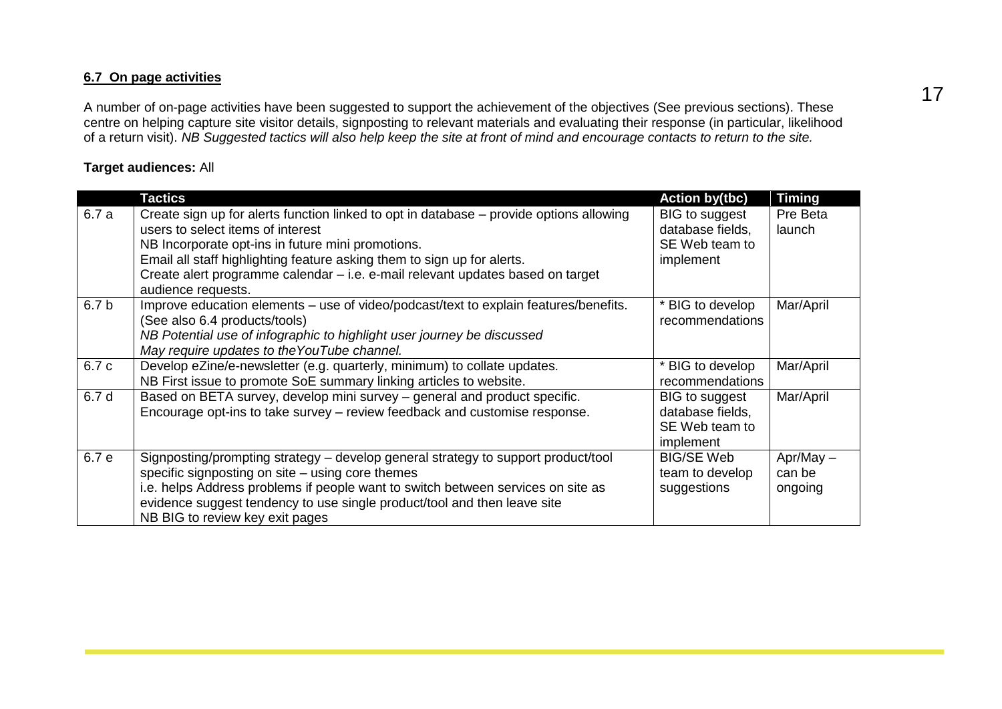#### **6.7 On page activities**

A number of on-page activities have been suggested to support the achievement of the objectives (See previous sections). These centre on helping capture site visitor details, signposting to relevant materials and evaluating their response (in particular, likelihood of a return visit). *NB Suggested tactics will also help keep the site at front of mind and encourage contacts to return to the site.*

#### **Target audiences:** All

|                  | <b>Tactics</b>                                                                                                                                                                                                                                                                                                                                                       | <b>Action by(tbc)</b>                                             | Timing                           |
|------------------|----------------------------------------------------------------------------------------------------------------------------------------------------------------------------------------------------------------------------------------------------------------------------------------------------------------------------------------------------------------------|-------------------------------------------------------------------|----------------------------------|
| 6.7 a            | Create sign up for alerts function linked to opt in database – provide options allowing<br>users to select items of interest<br>NB Incorporate opt-ins in future mini promotions.<br>Email all staff highlighting feature asking them to sign up for alerts.<br>Create alert programme calendar - i.e. e-mail relevant updates based on target<br>audience requests. | BIG to suggest<br>database fields,<br>SE Web team to<br>implement | Pre Beta<br>launch               |
| 6.7 <sub>b</sub> | Improve education elements – use of video/podcast/text to explain features/benefits.<br>(See also 6.4 products/tools)<br>NB Potential use of infographic to highlight user journey be discussed<br>May require updates to the YouTube channel.                                                                                                                       | * BIG to develop<br>recommendations                               | Mar/April                        |
| 6.7 c            | Develop eZine/e-newsletter (e.g. quarterly, minimum) to collate updates.<br>NB First issue to promote SoE summary linking articles to website.                                                                                                                                                                                                                       | * BIG to develop<br>recommendations                               | Mar/April                        |
| 6.7 d            | Based on BETA survey, develop mini survey - general and product specific.<br>Encourage opt-ins to take survey - review feedback and customise response.                                                                                                                                                                                                              | BIG to suggest<br>database fields,<br>SE Web team to<br>implement | Mar/April                        |
| 6.7 e            | Signposting/prompting strategy – develop general strategy to support product/tool<br>specific signposting on site – using core themes<br>i.e. helps Address problems if people want to switch between services on site as<br>evidence suggest tendency to use single product/tool and then leave site<br>NB BIG to review key exit pages                             | <b>BIG/SE Web</b><br>team to develop<br>suggestions               | $Apr/May -$<br>can be<br>ongoing |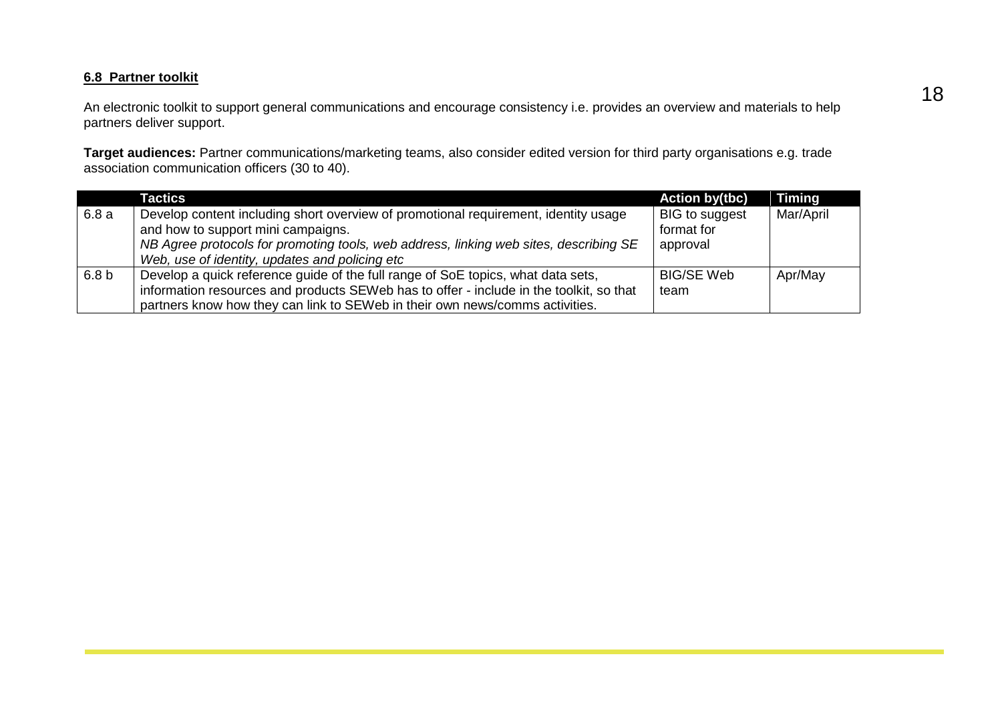#### **6.8 Partner toolkit**

An electronic toolkit to support general communications and encourage consistency i.e. provides an overview and materials to help partners deliver support.

**Target audiences:** Partner communications/marketing teams, also consider edited version for third party organisations e.g. trade association communication officers (30 to 40).

|                  | Tactics                                                                                                                                                                                                                                                              | <b>Action by(tbc)</b>                           | <b>Timing</b> |
|------------------|----------------------------------------------------------------------------------------------------------------------------------------------------------------------------------------------------------------------------------------------------------------------|-------------------------------------------------|---------------|
| 6.8a             | Develop content including short overview of promotional requirement, identity usage<br>and how to support mini campaigns.<br>NB Agree protocols for promoting tools, web address, linking web sites, describing SE<br>Web, use of identity, updates and policing etc | <b>BIG</b> to suggest<br>format for<br>approval | Mar/April     |
| 6.8 <sub>b</sub> | Develop a quick reference guide of the full range of SoE topics, what data sets,<br>information resources and products SEWeb has to offer - include in the toolkit, so that<br>partners know how they can link to SEWeb in their own news/comms activities.          | <b>BIG/SE Web</b><br>team                       | Apr/May       |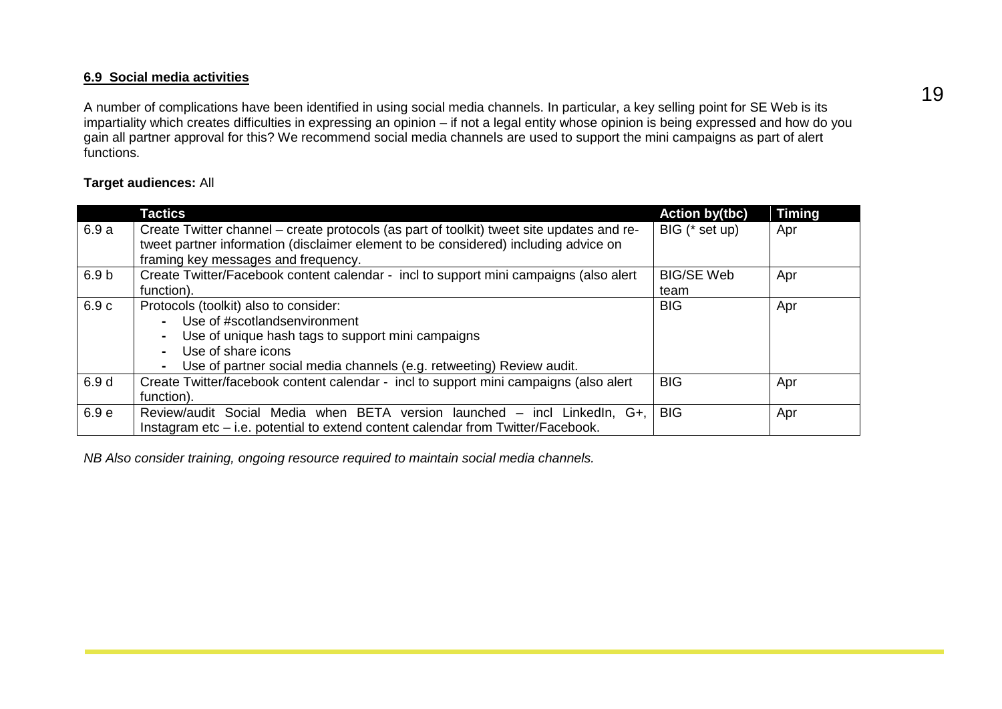#### **6.9 Social media activities**

A number of complications have been identified in using social media channels. In particular, a key selling point for SE Web is its impartiality which creates difficulties in expressing an opinion – if not a legal entity whose opinion is being expressed and how do you gain all partner approval for this? We recommend social media channels are used to support the mini campaigns as part of alert functions.

#### **Target audiences:** All

|                  | Tactics                                                                                   | <b>Action by(tbc)</b> | <b>Timing</b> |
|------------------|-------------------------------------------------------------------------------------------|-----------------------|---------------|
| 6.9a             | Create Twitter channel – create protocols (as part of toolkit) tweet site updates and re- | BIG (* set up)        | Apr           |
|                  | tweet partner information (disclaimer element to be considered) including advice on       |                       |               |
|                  | framing key messages and frequency.                                                       |                       |               |
| 6.9 <sub>b</sub> | Create Twitter/Facebook content calendar - incl to support mini campaigns (also alert     | <b>BIG/SE Web</b>     | Apr           |
|                  | function).                                                                                | team                  |               |
| 6.9c             | Protocols (toolkit) also to consider:                                                     | <b>BIG</b>            | Apr           |
|                  | Use of #scotlandsenvironment<br>$\blacksquare$                                            |                       |               |
|                  | Use of unique hash tags to support mini campaigns<br>$\blacksquare$                       |                       |               |
|                  | Use of share icons<br>$\blacksquare$                                                      |                       |               |
|                  | Use of partner social media channels (e.g. retweeting) Review audit.<br>$\sim$            |                       |               |
| 6.9 d            | Create Twitter/facebook content calendar - incl to support mini campaigns (also alert     | <b>BIG</b>            | Apr           |
|                  | function).                                                                                |                       |               |
| 6.9 <sub>e</sub> | Review/audit Social Media when BETA version launched - incl LinkedIn, G+,                 | <b>BIG</b>            | Apr           |
|                  | Instagram etc – i.e. potential to extend content calendar from Twitter/Facebook.          |                       |               |

*NB Also consider training, ongoing resource required to maintain social media channels.*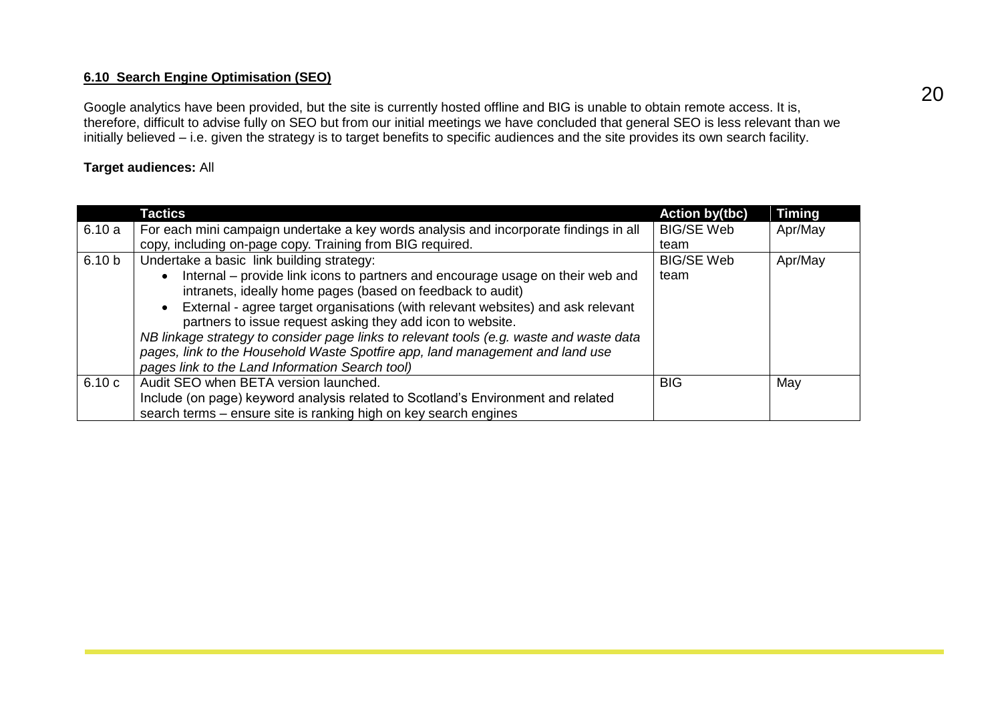#### **6.10 Search Engine Optimisation (SEO)**

Google analytics have been provided, but the site is currently hosted offline and BIG is unable to obtain remote access. It is, therefore, difficult to advise fully on SEO but from our initial meetings we have concluded that general SEO is less relevant than we initially believed – i.e. given the strategy is to target benefits to specific audiences and the site provides its own search facility.

#### **Target audiences:** All

|                   | Tactics                                                                                      | <b>Action by(tbc)</b> | <b>Timing</b> |
|-------------------|----------------------------------------------------------------------------------------------|-----------------------|---------------|
| 6.10a             | For each mini campaign undertake a key words analysis and incorporate findings in all        | <b>BIG/SE Web</b>     | Apr/May       |
|                   | copy, including on-page copy. Training from BIG required.                                    | team                  |               |
| 6.10 <sub>b</sub> | Undertake a basic link building strategy:                                                    | <b>BIG/SE Web</b>     | Apr/May       |
|                   | Internal – provide link icons to partners and encourage usage on their web and               | team                  |               |
|                   | intranets, ideally home pages (based on feedback to audit)                                   |                       |               |
|                   | External - agree target organisations (with relevant websites) and ask relevant<br>$\bullet$ |                       |               |
|                   | partners to issue request asking they add icon to website.                                   |                       |               |
|                   | NB linkage strategy to consider page links to relevant tools (e.g. waste and waste data      |                       |               |
|                   | pages, link to the Household Waste Spotfire app, land management and land use                |                       |               |
|                   | pages link to the Land Information Search tool)                                              |                       |               |
| 6.10c             | Audit SEO when BETA version launched.                                                        | <b>BIG</b>            | May           |
|                   | Include (on page) keyword analysis related to Scotland's Environment and related             |                       |               |
|                   | search terms – ensure site is ranking high on key search engines                             |                       |               |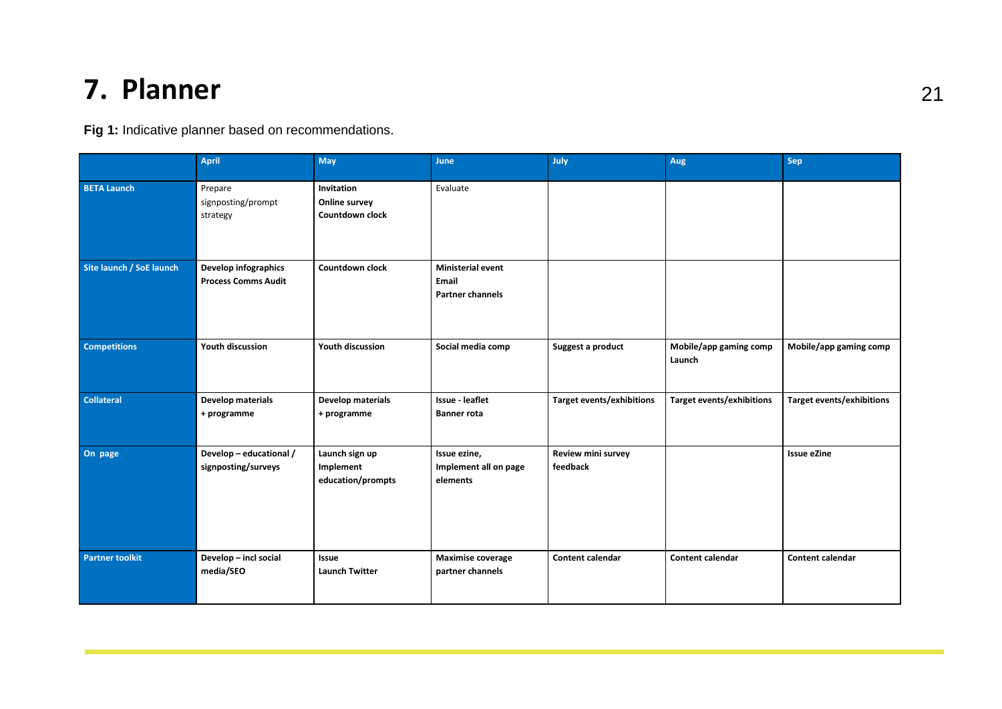# **7. Planner** 21

**Fig 1:** Indicative planner based on recommendations.

|                          | <b>April</b>                                       | May                                              | June                                                         | July                           | Aug                              | Sep                       |
|--------------------------|----------------------------------------------------|--------------------------------------------------|--------------------------------------------------------------|--------------------------------|----------------------------------|---------------------------|
| <b>BETA Launch</b>       | Prepare<br>signposting/prompt<br>strategy          | Invitation<br>Online survey<br>Countdown clock   | Evaluate                                                     |                                |                                  |                           |
| Site launch / SoE launch | Develop infographics<br><b>Process Comms Audit</b> | Countdown clock                                  | <b>Ministerial event</b><br>Email<br><b>Partner channels</b> |                                |                                  |                           |
| <b>Competitions</b>      | Youth discussion                                   | Youth discussion                                 | Social media comp                                            | Suggest a product              | Mobile/app gaming comp<br>Launch | Mobile/app gaming comp    |
| <b>Collateral</b>        | <b>Develop materials</b><br>+ programme            | <b>Develop materials</b><br>+ programme          | Issue - leaflet<br><b>Banner rota</b>                        | Target events/exhibitions      | <b>Target events/exhibitions</b> | Target events/exhibitions |
| On page                  | Develop - educational /<br>signposting/surveys     | Launch sign up<br>Implement<br>education/prompts | Issue ezine,<br>Implement all on page<br>elements            | Review mini survey<br>feedback |                                  | <b>Issue eZine</b>        |
| <b>Partner toolkit</b>   | Develop - incl social<br>media/SEO                 | Issue<br><b>Launch Twitter</b>                   | <b>Maximise coverage</b><br>partner channels                 | <b>Content calendar</b>        | <b>Content calendar</b>          | Content calendar          |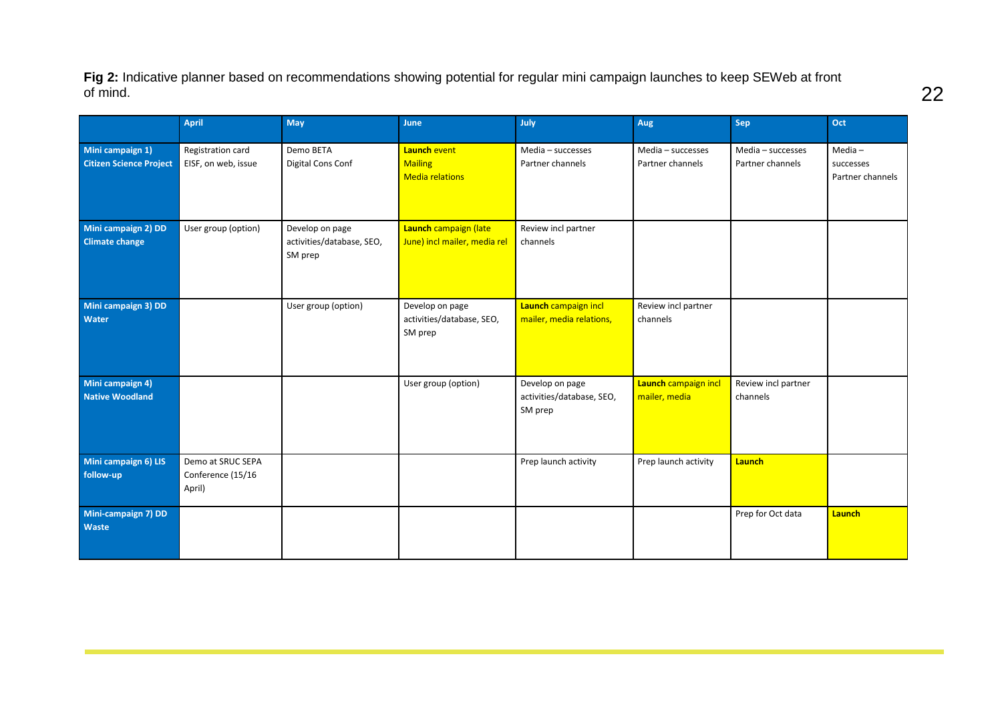**Fig 2:** Indicative planner based on recommendations showing potential for regular mini campaign launches to keep SEWeb at front of mind.

|                                                    | April                                            | May                                                     | June                                                     | July                                                    | Aug                                   | Sep                                   | Oct                                        |
|----------------------------------------------------|--------------------------------------------------|---------------------------------------------------------|----------------------------------------------------------|---------------------------------------------------------|---------------------------------------|---------------------------------------|--------------------------------------------|
| Mini campaign 1)<br><b>Citizen Science Project</b> | Registration card<br>EISF, on web, issue         | Demo BETA<br>Digital Cons Conf                          | Launch event<br><b>Mailing</b><br><b>Media relations</b> | Media - successes<br>Partner channels                   | Media - successes<br>Partner channels | Media - successes<br>Partner channels | $Media -$<br>successes<br>Partner channels |
| Mini campaign 2) DD<br><b>Climate change</b>       | User group (option)                              | Develop on page<br>activities/database, SEO,<br>SM prep | Launch campaign (late<br>June) incl mailer, media rel    | Review incl partner<br>channels                         |                                       |                                       |                                            |
| Mini campaign 3) DD<br>Water                       |                                                  | User group (option)                                     | Develop on page<br>activities/database, SEO,<br>SM prep  | Launch campaign incl<br>mailer, media relations,        | Review incl partner<br>channels       |                                       |                                            |
| Mini campaign 4)<br><b>Native Woodland</b>         |                                                  |                                                         | User group (option)                                      | Develop on page<br>activities/database, SEO,<br>SM prep | Launch campaign incl<br>mailer, media | Review incl partner<br>channels       |                                            |
| Mini campaign 6) LIS<br>follow-up                  | Demo at SRUC SEPA<br>Conference (15/16<br>April) |                                                         |                                                          | Prep launch activity                                    | Prep launch activity                  | Launch                                |                                            |
| Mini-campaign 7) DD<br>Waste                       |                                                  |                                                         |                                                          |                                                         |                                       | Prep for Oct data                     | Launch                                     |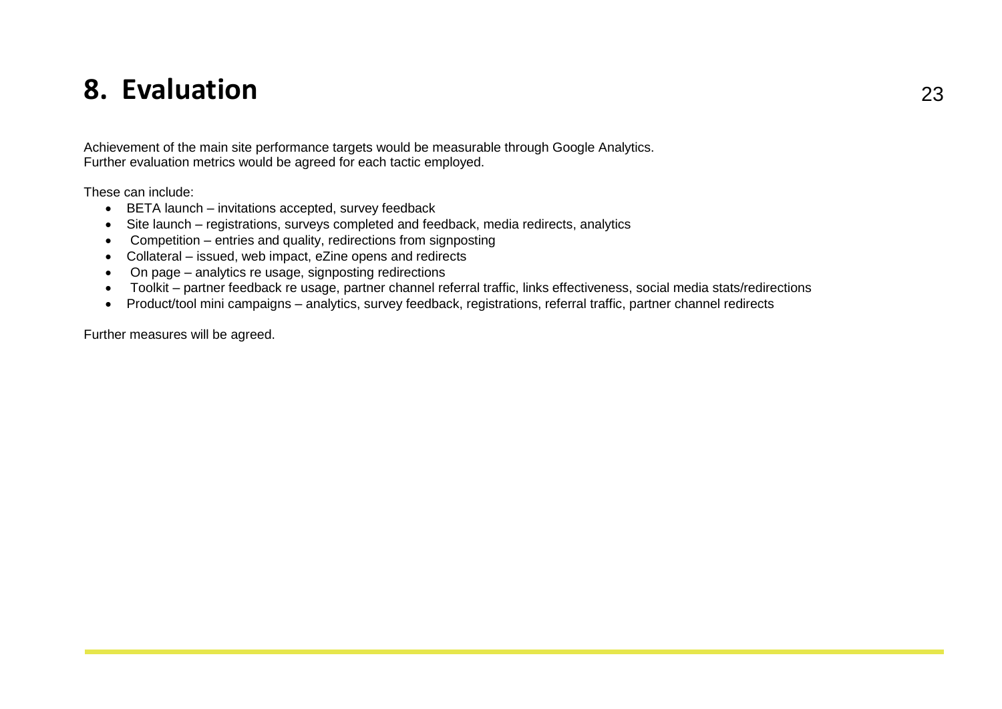### **8. Evaluation** <sup>23</sup>

Achievement of the main site performance targets would be measurable through Google Analytics. Further evaluation metrics would be agreed for each tactic employed.

These can include:

- BETA launch invitations accepted, survey feedback
- Site launch registrations, surveys completed and feedback, media redirects, analytics
- Competition entries and quality, redirections from signposting
- Collateral issued, web impact, eZine opens and redirects
- On page analytics re usage, signposting redirections
- Toolkit partner feedback re usage, partner channel referral traffic, links effectiveness, social media stats/redirections
- Product/tool mini campaigns analytics, survey feedback, registrations, referral traffic, partner channel redirects

Further measures will be agreed.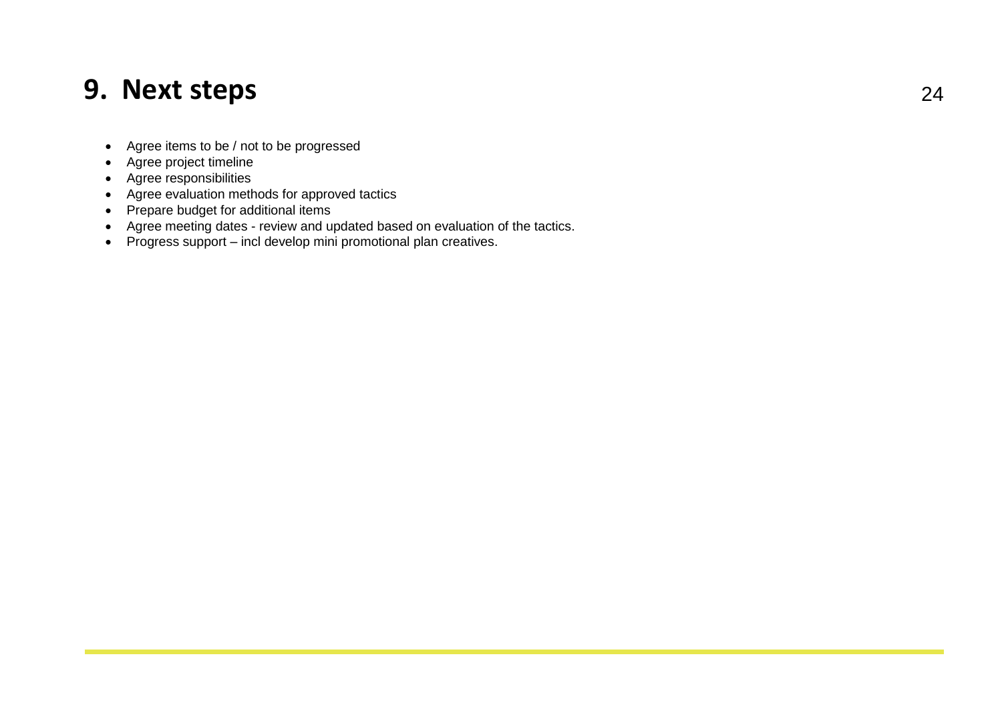### **9. Next steps** <sup>24</sup>

- Agree items to be / not to be progressed
- Agree project timeline
- Agree responsibilities
- Agree evaluation methods for approved tactics
- Prepare budget for additional items
- Agree meeting dates review and updated based on evaluation of the tactics.
- Progress support incl develop mini promotional plan creatives.